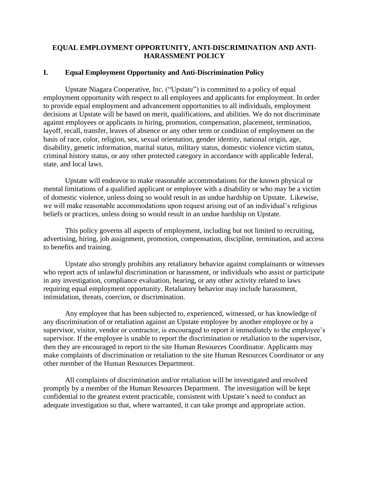# **EQUAL EMPLOYMENT OPPORTUNITY, ANTI-DISCRIMINATION AND ANTI-HARASSMENT POLICY**

## **I. Equal Employment Opportunity and Anti-Discrimination Policy**

Upstate Niagara Cooperative, Inc. ("Upstate") is committed to a policy of equal employment opportunity with respect to all employees and applicants for employment. In order to provide equal employment and advancement opportunities to all individuals, employment decisions at Upstate will be based on merit, qualifications, and abilities. We do not discriminate against employees or applicants in hiring, promotion, compensation, placement, termination, layoff, recall, transfer, leaves of absence or any other term or condition of employment on the basis of race, color, religion, sex, sexual orientation, gender identity, national origin, age, disability, genetic information, marital status, military status, domestic violence victim status, criminal history status, or any other protected category in accordance with applicable federal, state, and local laws.

Upstate will endeavor to make reasonable accommodations for the known physical or mental limitations of a qualified applicant or employee with a disability or who may be a victim of domestic violence, unless doing so would result in an undue hardship on Upstate. Likewise, we will make reasonable accommodations upon request arising out of an individual's religious beliefs or practices, unless doing so would result in an undue hardship on Upstate.

This policy governs all aspects of employment, including but not limited to recruiting, advertising, hiring, job assignment, promotion, compensation, discipline, termination, and access to benefits and training.

Upstate also strongly prohibits any retaliatory behavior against complainants or witnesses who report acts of unlawful discrimination or harassment, or individuals who assist or participate in any investigation, compliance evaluation, hearing, or any other activity related to laws requiring equal employment opportunity. Retaliatory behavior may include harassment, intimidation, threats, coercion, or discrimination.

Any employee that has been subjected to, experienced, witnessed, or has knowledge of any discrimination of or retaliation against an Upstate employee by another employee or by a supervisor, visitor, vendor or contractor, is encouraged to report it immediately to the employee's supervisor. If the employee is unable to report the discrimination or retaliation to the supervisor, then they are encouraged to report to the site Human Resources Coordinator. Applicants may make complaints of discrimination or retaliation to the site Human Resources Coordinator or any other member of the Human Resources Department.

All complaints of discrimination and/or retaliation will be investigated and resolved promptly by a member of the Human Resources Department. The investigation will be kept confidential to the greatest extent practicable, consistent with Upstate's need to conduct an adequate investigation so that, where warranted, it can take prompt and appropriate action.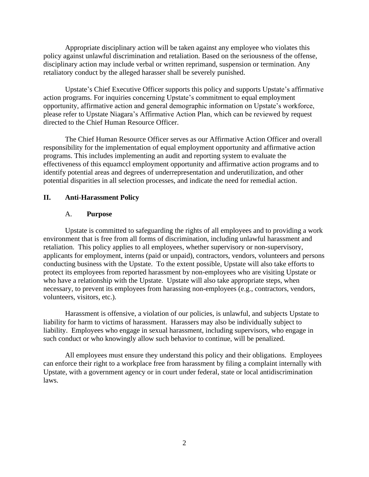Appropriate disciplinary action will be taken against any employee who violates this policy against unlawful discrimination and retaliation. Based on the seriousness of the offense, disciplinary action may include verbal or written reprimand, suspension or termination. Any retaliatory conduct by the alleged harasser shall be severely punished.

Upstate's Chief Executive Officer supports this policy and supports Upstate's affirmative action programs. For inquiries concerning Upstate's commitment to equal employment opportunity, affirmative action and general demographic information on Upstate's workforce, please refer to Upstate Niagara's Affirmative Action Plan, which can be reviewed by request directed to the Chief Human Resource Officer.

The Chief Human Resource Officer serves as our Affirmative Action Officer and overall responsibility for the implementation of equal employment opportunity and affirmative action programs. This includes implementing an audit and reporting system to evaluate the effectiveness of this equamccl employment opportunity and affirmative action programs and to identify potential areas and degrees of underrepresentation and underutilization, and other potential disparities in all selection processes, and indicate the need for remedial action.

#### **II. Anti-Harassment Policy**

#### A. **Purpose**

Upstate is committed to safeguarding the rights of all employees and to providing a work environment that is free from all forms of discrimination, including unlawful harassment and retaliation. This policy applies to all employees, whether supervisory or non-supervisory, applicants for employment, interns (paid or unpaid), contractors, vendors, volunteers and persons conducting business with the Upstate. To the extent possible, Upstate will also take efforts to protect its employees from reported harassment by non-employees who are visiting Upstate or who have a relationship with the Upstate. Upstate will also take appropriate steps, when necessary, to prevent its employees from harassing non-employees (e.g., contractors, vendors, volunteers, visitors, etc.).

Harassment is offensive, a violation of our policies, is unlawful, and subjects Upstate to liability for harm to victims of harassment. Harassers may also be individually subject to liability. Employees who engage in sexual harassment, including supervisors, who engage in such conduct or who knowingly allow such behavior to continue, will be penalized.

All employees must ensure they understand this policy and their obligations. Employees can enforce their right to a workplace free from harassment by filing a complaint internally with Upstate, with a government agency or in court under federal, state or local antidiscrimination laws.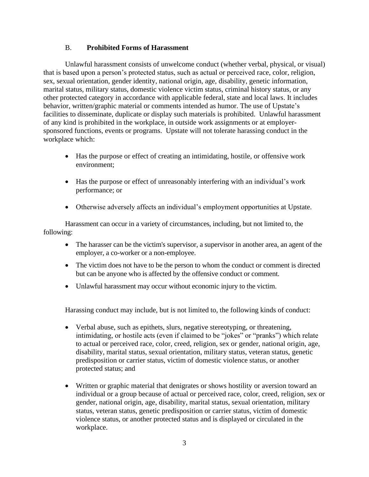# B. **Prohibited Forms of Harassment**

Unlawful harassment consists of unwelcome conduct (whether verbal, physical, or visual) that is based upon a person's protected status, such as actual or perceived race, color, religion, sex, sexual orientation, gender identity, national origin, age, disability, genetic information, marital status, military status, domestic violence victim status, criminal history status, or any other protected category in accordance with applicable federal, state and local laws. It includes behavior, written/graphic material or comments intended as humor. The use of Upstate's facilities to disseminate, duplicate or display such materials is prohibited. Unlawful harassment of any kind is prohibited in the workplace, in outside work assignments or at employersponsored functions, events or programs. Upstate will not tolerate harassing conduct in the workplace which:

- Has the purpose or effect of creating an intimidating, hostile, or offensive work environment;
- Has the purpose or effect of unreasonably interfering with an individual's work performance; or
- Otherwise adversely affects an individual's employment opportunities at Upstate.

Harassment can occur in a variety of circumstances, including, but not limited to, the following:

- The harasser can be the victim's supervisor, a supervisor in another area, an agent of the employer, a co-worker or a non-employee.
- The victim does not have to be the person to whom the conduct or comment is directed but can be anyone who is affected by the offensive conduct or comment.
- Unlawful harassment may occur without economic injury to the victim.

Harassing conduct may include, but is not limited to, the following kinds of conduct:

- Verbal abuse, such as epithets, slurs, negative stereotyping, or threatening, intimidating, or hostile acts (even if claimed to be "jokes" or "pranks") which relate to actual or perceived race, color, creed, religion, sex or gender, national origin, age, disability, marital status, sexual orientation, military status, veteran status, genetic predisposition or carrier status, victim of domestic violence status, or another protected status; and
- Written or graphic material that denigrates or shows hostility or aversion toward an individual or a group because of actual or perceived race, color, creed, religion, sex or gender, national origin, age, disability, marital status, sexual orientation, military status, veteran status, genetic predisposition or carrier status, victim of domestic violence status, or another protected status and is displayed or circulated in the workplace.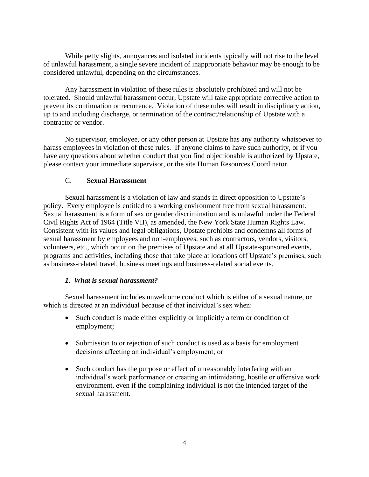While petty slights, annoyances and isolated incidents typically will not rise to the level of unlawful harassment, a single severe incident of inappropriate behavior may be enough to be considered unlawful, depending on the circumstances.

Any harassment in violation of these rules is absolutely prohibited and will not be tolerated. Should unlawful harassment occur, Upstate will take appropriate corrective action to prevent its continuation or recurrence. Violation of these rules will result in disciplinary action, up to and including discharge, or termination of the contract/relationship of Upstate with a contractor or vendor.

No supervisor, employee, or any other person at Upstate has any authority whatsoever to harass employees in violation of these rules. If anyone claims to have such authority, or if you have any questions about whether conduct that you find objectionable is authorized by Upstate, please contact your immediate supervisor, or the site Human Resources Coordinator.

## C. **Sexual Harassment**

Sexual harassment is a violation of law and stands in direct opposition to Upstate's policy. Every employee is entitled to a working environment free from sexual harassment. Sexual harassment is a form of sex or gender discrimination and is unlawful under the Federal Civil Rights Act of 1964 (Title VII), as amended, the New York State Human Rights Law. Consistent with its values and legal obligations, Upstate prohibits and condemns all forms of sexual harassment by employees and non-employees, such as contractors, vendors, visitors, volunteers, etc., which occur on the premises of Upstate and at all Upstate-sponsored events, programs and activities, including those that take place at locations off Upstate's premises, such as business-related travel, business meetings and business-related social events.

## *1. What is sexual harassment?*

Sexual harassment includes unwelcome conduct which is either of a sexual nature, or which is directed at an individual because of that individual's sex when:

- Such conduct is made either explicitly or implicitly a term or condition of employment;
- Submission to or rejection of such conduct is used as a basis for employment decisions affecting an individual's employment; or
- Such conduct has the purpose or effect of unreasonably interfering with an individual's work performance or creating an intimidating, hostile or offensive work environment, even if the complaining individual is not the intended target of the sexual harassment.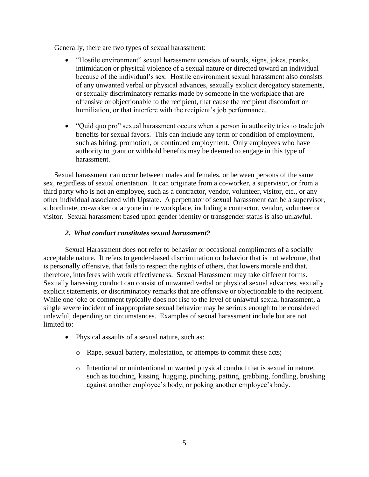Generally, there are two types of sexual harassment:

- "Hostile environment" sexual harassment consists of words, signs, jokes, pranks, intimidation or physical violence of a sexual nature or directed toward an individual because of the individual's sex. Hostile environment sexual harassment also consists of any unwanted verbal or physical advances, sexually explicit derogatory statements, or sexually discriminatory remarks made by someone in the workplace that are offensive or objectionable to the recipient, that cause the recipient discomfort or humiliation, or that interfere with the recipient's job performance.
- "Quid quo pro" sexual harassment occurs when a person in authority tries to trade job benefits for sexual favors. This can include any term or condition of employment, such as hiring, promotion, or continued employment. Only employees who have authority to grant or withhold benefits may be deemed to engage in this type of harassment.

Sexual harassment can occur between males and females, or between persons of the same sex, regardless of sexual orientation. It can originate from a co-worker, a supervisor, or from a third party who is not an employee, such as a contractor, vendor, volunteer, visitor, etc., or any other individual associated with Upstate. A perpetrator of sexual harassment can be a supervisor, subordinate, co-worker or anyone in the workplace, including a contractor, vendor, volunteer or visitor. Sexual harassment based upon gender identity or transgender status is also unlawful.

## *2. What conduct constitutes sexual harassment?*

Sexual Harassment does not refer to behavior or occasional compliments of a socially acceptable nature. It refers to gender-based discrimination or behavior that is not welcome, that is personally offensive, that fails to respect the rights of others, that lowers morale and that, therefore, interferes with work effectiveness. Sexual Harassment may take different forms. Sexually harassing conduct can consist of unwanted verbal or physical sexual advances, sexually explicit statements, or discriminatory remarks that are offensive or objectionable to the recipient. While one joke or comment typically does not rise to the level of unlawful sexual harassment, a single severe incident of inappropriate sexual behavior may be serious enough to be considered unlawful, depending on circumstances. Examples of sexual harassment include but are not limited to:

- Physical assaults of a sexual nature, such as:
	- o Rape, sexual battery, molestation, or attempts to commit these acts;
	- $\circ$  Intentional or unintentional unwanted physical conduct that is sexual in nature, such as touching, kissing, hugging, pinching, patting, grabbing, fondling, brushing against another employee's body, or poking another employee's body.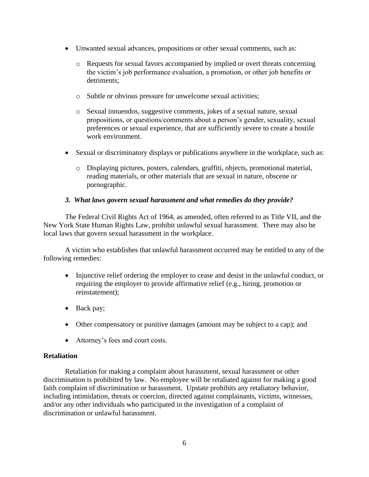- Unwanted sexual advances, propositions or other sexual comments, such as:
	- o Requests for sexual favors accompanied by implied or overt threats concerning the victim's job performance evaluation, a promotion, or other job benefits or detriments;
	- o Subtle or obvious pressure for unwelcome sexual activities;
	- o Sexual innuendos, suggestive comments, jokes of a sexual nature, sexual propositions, or questions/comments about a person's gender, sexuality, sexual preferences or sexual experience, that are sufficiently severe to create a hostile work environment.
- Sexual or discriminatory displays or publications anywhere in the workplace, such as:
	- o Displaying pictures, posters, calendars, graffiti, objects, promotional material, reading materials, or other materials that are sexual in nature, obscene or pornographic.

## *3. What laws govern sexual harassment and what remedies do they provide?*

The Federal Civil Rights Act of 1964, as amended, often referred to as Title VII, and the New York State Human Rights Law, prohibit unlawful sexual harassment. There may also be local laws that govern sexual harassment in the workplace.

A victim who establishes that unlawful harassment occurred may be entitled to any of the following remedies:

- Injunctive relief ordering the employer to cease and desist in the unlawful conduct, or requiring the employer to provide affirmative relief (e.g., hiring, promotion or reinstatement);
- Back pay;
- Other compensatory or punitive damages (amount may be subject to a cap); and
- Attorney's fees and court costs.

## **Retaliation**

Retaliation for making a complaint about harassment, sexual harassment or other discrimination is prohibited by law. No employee will be retaliated against for making a good faith complaint of discrimination or harassment. Upstate prohibits any retaliatory behavior, including intimidation, threats or coercion, directed against complainants, victims, witnesses, and/or any other individuals who participated in the investigation of a complaint of discrimination or unlawful harassment.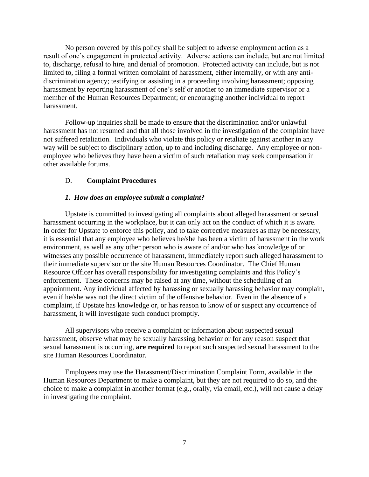No person covered by this policy shall be subject to adverse employment action as a result of one's engagement in protected activity. Adverse actions can include, but are not limited to, discharge, refusal to hire, and denial of promotion. Protected activity can include, but is not limited to, filing a formal written complaint of harassment, either internally, or with any antidiscrimination agency; testifying or assisting in a proceeding involving harassment; opposing harassment by reporting harassment of one's self or another to an immediate supervisor or a member of the Human Resources Department; or encouraging another individual to report harassment.

Follow-up inquiries shall be made to ensure that the discrimination and/or unlawful harassment has not resumed and that all those involved in the investigation of the complaint have not suffered retaliation. Individuals who violate this policy or retaliate against another in any way will be subject to disciplinary action, up to and including discharge. Any employee or nonemployee who believes they have been a victim of such retaliation may seek compensation in other available forums.

#### D. **Complaint Procedures**

#### *1. How does an employee submit a complaint?*

Upstate is committed to investigating all complaints about alleged harassment or sexual harassment occurring in the workplace, but it can only act on the conduct of which it is aware. In order for Upstate to enforce this policy, and to take corrective measures as may be necessary, it is essential that any employee who believes he/she has been a victim of harassment in the work environment, as well as any other person who is aware of and/or who has knowledge of or witnesses any possible occurrence of harassment, immediately report such alleged harassment to their immediate supervisor or the site Human Resources Coordinator. The Chief Human Resource Officer has overall responsibility for investigating complaints and this Policy's enforcement. These concerns may be raised at any time, without the scheduling of an appointment. Any individual affected by harassing or sexually harassing behavior may complain, even if he/she was not the direct victim of the offensive behavior. Even in the absence of a complaint, if Upstate has knowledge or, or has reason to know of or suspect any occurrence of harassment, it will investigate such conduct promptly.

All supervisors who receive a complaint or information about suspected sexual harassment, observe what may be sexually harassing behavior or for any reason suspect that sexual harassment is occurring, **are required** to report such suspected sexual harassment to the site Human Resources Coordinator.

Employees may use the Harassment/Discrimination Complaint Form, available in the Human Resources Department to make a complaint, but they are not required to do so, and the choice to make a complaint in another format (e.g., orally, via email, etc.), will not cause a delay in investigating the complaint.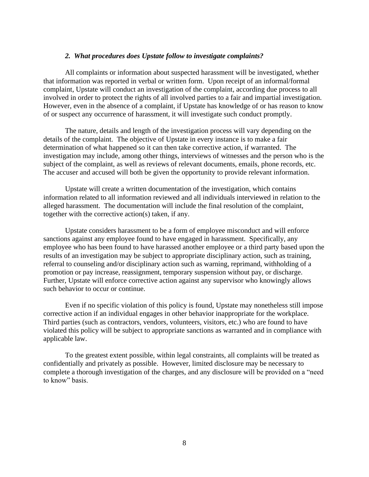#### *2. What procedures does Upstate follow to investigate complaints?*

All complaints or information about suspected harassment will be investigated, whether that information was reported in verbal or written form. Upon receipt of an informal/formal complaint, Upstate will conduct an investigation of the complaint, according due process to all involved in order to protect the rights of all involved parties to a fair and impartial investigation. However, even in the absence of a complaint, if Upstate has knowledge of or has reason to know of or suspect any occurrence of harassment, it will investigate such conduct promptly.

The nature, details and length of the investigation process will vary depending on the details of the complaint. The objective of Upstate in every instance is to make a fair determination of what happened so it can then take corrective action, if warranted. The investigation may include, among other things, interviews of witnesses and the person who is the subject of the complaint, as well as reviews of relevant documents, emails, phone records, etc. The accuser and accused will both be given the opportunity to provide relevant information.

Upstate will create a written documentation of the investigation, which contains information related to all information reviewed and all individuals interviewed in relation to the alleged harassment. The documentation will include the final resolution of the complaint, together with the corrective action(s) taken, if any.

Upstate considers harassment to be a form of employee misconduct and will enforce sanctions against any employee found to have engaged in harassment. Specifically, any employee who has been found to have harassed another employee or a third party based upon the results of an investigation may be subject to appropriate disciplinary action, such as training, referral to counseling and/or disciplinary action such as warning, reprimand, withholding of a promotion or pay increase, reassignment, temporary suspension without pay, or discharge. Further, Upstate will enforce corrective action against any supervisor who knowingly allows such behavior to occur or continue.

Even if no specific violation of this policy is found, Upstate may nonetheless still impose corrective action if an individual engages in other behavior inappropriate for the workplace. Third parties (such as contractors, vendors, volunteers, visitors, etc.) who are found to have violated this policy will be subject to appropriate sanctions as warranted and in compliance with applicable law.

To the greatest extent possible, within legal constraints, all complaints will be treated as confidentially and privately as possible. However, limited disclosure may be necessary to complete a thorough investigation of the charges, and any disclosure will be provided on a "need to know" basis.